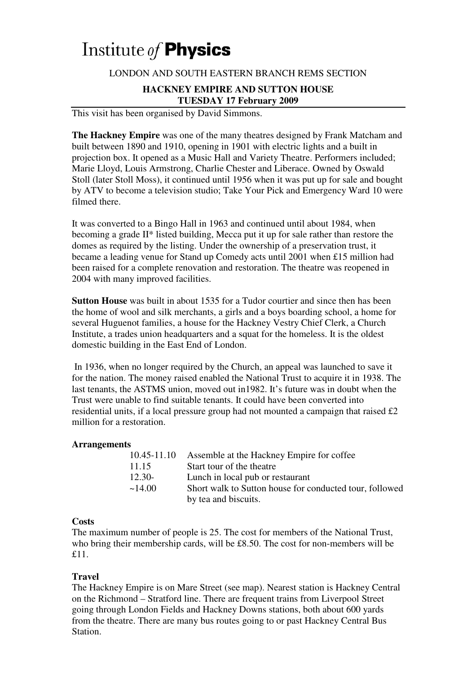# Institute of **Physics**

## LONDON AND SOUTH EASTERN BRANCH REMS SECTION

### **HACKNEY EMPIRE AND SUTTON HOUSE TUESDAY 17 February 2009**

This visit has been organised by David Simmons.

**The Hackney Empire** was one of the many theatres designed by Frank Matcham and built between 1890 and 1910, opening in 1901 with electric lights and a built in projection box. It opened as a Music Hall and Variety Theatre. Performers included; Marie Lloyd, Louis Armstrong, Charlie Chester and Liberace. Owned by Oswald Stoll (later Stoll Moss), it continued until 1956 when it was put up for sale and bought by ATV to become a television studio; Take Your Pick and Emergency Ward 10 were filmed there.

It was converted to a Bingo Hall in 1963 and continued until about 1984, when becoming a grade II\* listed building, Mecca put it up for sale rather than restore the domes as required by the listing. Under the ownership of a preservation trust, it became a leading venue for Stand up Comedy acts until 2001 when £15 million had been raised for a complete renovation and restoration. The theatre was reopened in 2004 with many improved facilities.

**Sutton House** was built in about 1535 for a Tudor courtier and since then has been the home of wool and silk merchants, a girls and a boys boarding school, a home for several Huguenot families, a house for the Hackney Vestry Chief Clerk, a Church Institute, a trades union headquarters and a squat for the homeless. It is the oldest domestic building in the East End of London.

 In 1936, when no longer required by the Church, an appeal was launched to save it for the nation. The money raised enabled the National Trust to acquire it in 1938. The last tenants, the ASTMS union, moved out in1982. It's future was in doubt when the Trust were unable to find suitable tenants. It could have been converted into residential units, if a local pressure group had not mounted a campaign that raised £2 million for a restoration.

## **Arrangements**

| 10.45-11.10 | Assemble at the Hackney Empire for coffee               |
|-------------|---------------------------------------------------------|
| 11.15       | Start tour of the theatre                               |
| 12.30-      | Lunch in local pub or restaurant                        |
| ~14.00      | Short walk to Sutton house for conducted tour, followed |
|             | by tea and biscuits.                                    |

#### **Costs**

The maximum number of people is 25. The cost for members of the National Trust, who bring their membership cards, will be £8.50. The cost for non-members will be £11.

## **Travel**

The Hackney Empire is on Mare Street (see map). Nearest station is Hackney Central on the Richmond – Stratford line. There are frequent trains from Liverpool Street going through London Fields and Hackney Downs stations, both about 600 yards from the theatre. There are many bus routes going to or past Hackney Central Bus Station.